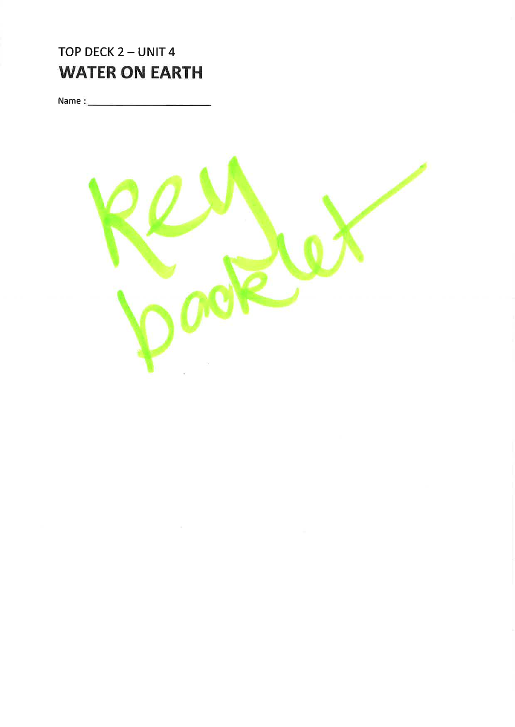### TOP DECK  $2 - UNIT 4$ WATER ON EARTH

Name

į,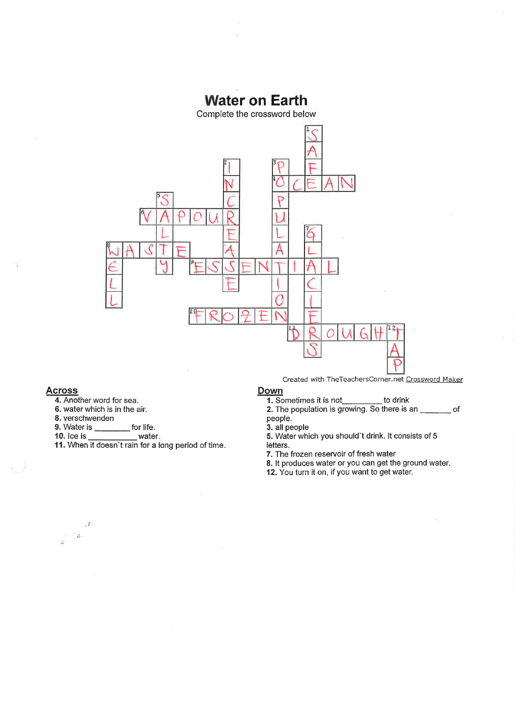

**Across** 

火

4. Another word for sea.

6. water which is in the air.

8. verschwenden

F  $\frac{1}{12}$  .

 $9.$  Water is  $\_\_\_\_\_\_$  for life.

 $10.$  lce is water  $\frac{10}{100}$  water

10. Ice is \_\_\_\_\_\_\_\_\_\_\_ water.<br>11. When it doesn't rain for a long period of time.

Down

1. Sometimes it is not<br>
<u>1.</u> Sometimes it is not<br>  $\frac{1}{\sqrt{1-\frac{1}{n}}}\cos(\theta)$ 

2. The population is growing. So there is an \_\_\_\_\_\_\_ of people.

3. all people

5. Water which you should't drink. It consists of 5 letters.

7. The frozen reservoir of fresh water

8. lt produces water or you can get the ground water.

12.You turn it on, if you want to get water.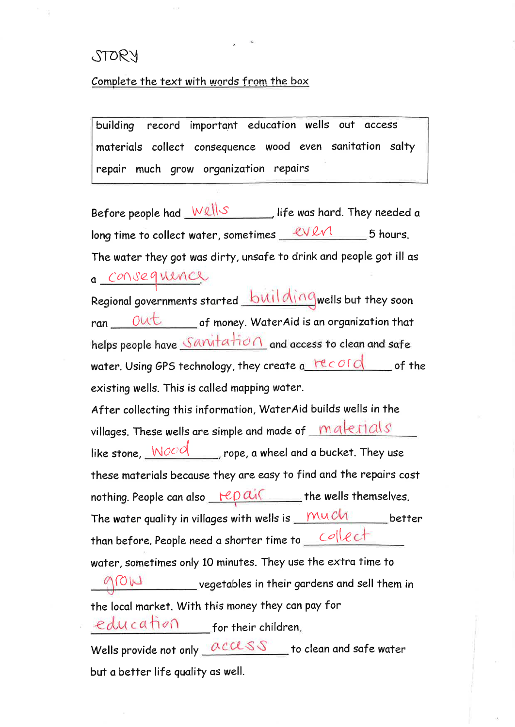### STORY

### Complete the text with words from the box

building record important education wells out access materials collect consequence wood even sanitation salty repair much grow organization repairs

Before people had  $WellS$  life was hard. They needed a long time to collect water, sometimes <u>even and</u> 5 hours. The water they got was dirty, unsafe to drink and people got ill as a consequence Regional governments started **building** wells but they soon ran  $\underline{\hspace{1cm}}$  OUt of money. WaterAid is an organization that helps people have Sanitation and access to clean and safe water. Using GPS technology, they create a **record** of the existing wells. This is called mapping water. After collecting this information, WaterAid builds wells in the villages. These wells are simple and made of *materials* like stone.  $WOOO$  $\overline{\phantom{a}}$  rope, a wheel and a bucket. They use these materials because they are easy to find and the repairs cost nothing. People can also  $\angle$   $\angle$   $\rho$  also  $\angle$  the wells themselves. The water quality in villages with wells is  $\sqrt{m\omega c\hbar}$ better than before. People need a shorter time to Collect water, sometimes only 10 minutes. They use the extra time to grow enceptively regardens and sell them in the local market. With this money they can pay for education for their children. Wells provide not only <u>access</u> to clean and safe water but a better life quality as well.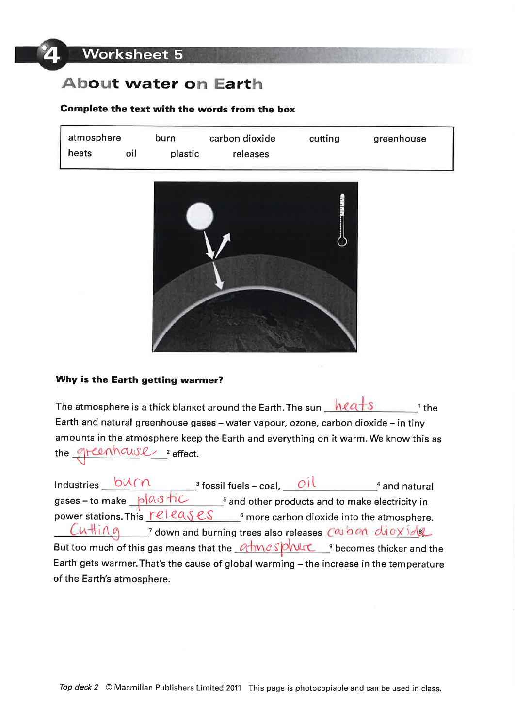### **About water on Earth**

### Complete the text with the words from the box

| atmosphere |     | burn           | carbon dioxide | cutting | greenhouse |
|------------|-----|----------------|----------------|---------|------------|
| heats      | οıl | <b>plastic</b> | releases       |         |            |



### Why is the Earth getting warmer?

The atmosphere is a thick blanket around the Earth. The sun  $h\ell a + S$   $\ell a + S$ Earth and natural greenhouse gases - water vapour, ozone, carbon dioxide - in tiny amounts in the atmosphere keep the Earth and everything on it warm. We know this as the <u>greenhouse</u> effect.

Industries but m<br>gases – to make  $\frac{p|a \circ h \circ b}{p}$  and other products and to make electricity in<br>power stations. This <u>releases</u> from the carbon dioxide into the atmosphere. Cutting rown and burning trees also releases cash on divide But too much of this gas means that the  $a+m \circ s$   $\circ$   $\sim$   $\bullet$  becomes thicker and the Earth gets warmer. That's the cause of global warming - the increase in the temperature of the Earth's atmosphere.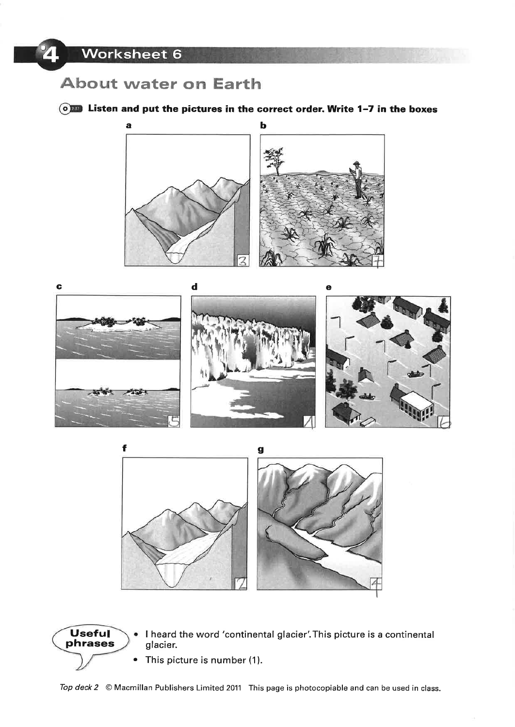### About water on Earth

### **OF Listen and put the pictures in the correct order. Write 1-7 in the boxes**







¡ I heard the word 'continental glacier'.This picture is a continental glacier. • This picture is number (1). Useful phrases

Top deck 2 @ Macmillan Publishers Limited 2011 This page is photocopiable and can be used in class.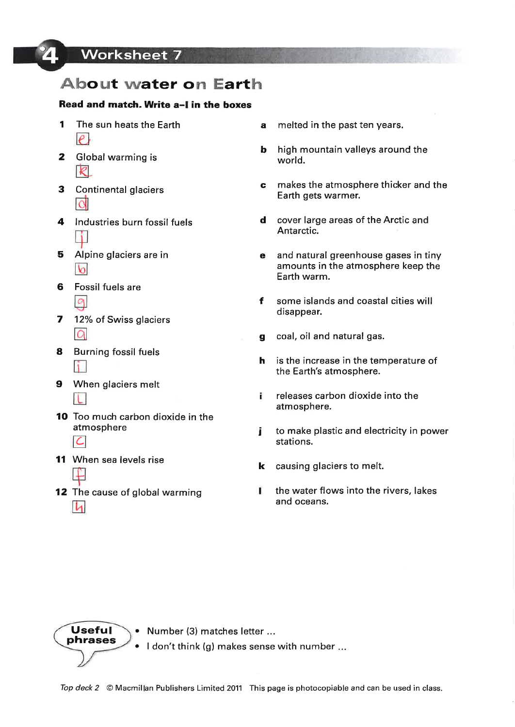### **About water on Earth**

### Read and match. Write a-I in the boxes

- 1 The sun heats the Earth  $\lvert \rho \rvert$
- 2 Global warming is  $\mathcal{R}$
- 3 Continental glaciers d
- 4 Industries burn fossil fuels
- **5** Alpine glaciers are in  $\circ$
- 6 Fossil fuels are  $\mathcal{Q}$
- **7** 12% of Swiss glaciers @
- 8 Burning fossil fuels  $\mathbf{t}$
- **9** When glaciers melt E
- 10 Too much carbon dioxide in the atmosphere  $|C|$
- 11 When sea levels rise l t

**Useful**<br>phrases

12 The cause of global warming  $\overline{a}$ 

- a melted in the past ten years.
- **b** high mountain valleys around the world.
- makes the atmosphere thicker and the Earth gets warmer. G
- d cover large areas of the Arctic and Antarctic.
- e and natural greenhouse gases in tiny amounts in the atmosphere keep the Earth warm.
- f some islands and coastal cities will disappear.
- g coal, oil and natural gas.
- h is the increase in the temperature of the Earth's atmosphere.
- Ĭ. releases carbon dioxide into the atmosphere.
- i to make plastic and electricity in power stations.
- k causing glaciers to melt.
- I the water flows into the rivers, lakes and oceans.

o Number (3) matches letter ...

I don't think (g) makes sense with number...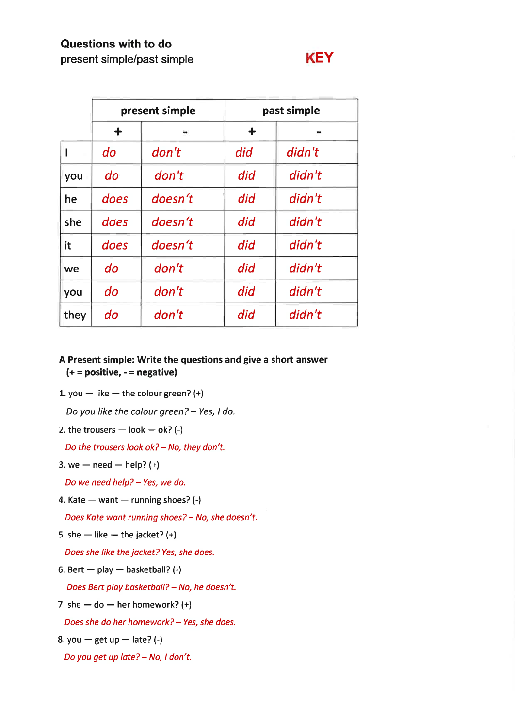### Questions with to do

present simple/past simple KEY

|      |            | present simple | past simple |        |  |
|------|------------|----------------|-------------|--------|--|
|      | $\ddagger$ |                | $\ddag$     |        |  |
|      | do         | don't          | did         | didn't |  |
| you  | do         | don't          | did         | didn't |  |
| he   | does       | doesn't        | did         | didn't |  |
| she  | does       | doesn't        | did         | didn't |  |
| it   | does       | doesn't        | did         | didn't |  |
| we   | do         | don't          | did         | didn't |  |
| you  | do         | don't          | did         | didn't |  |
| they | do         | don't          | did         | didn't |  |

A Present simple: Write the questions and give a short answer  $(+)$  = positive,  $-$  = negative)

 $1.$  you  $-$  like  $-$  the colour green? (+)

Do you like the colour green?  $-$  Yes, I do.

2. the trousers  $-$  look  $-$  ok? (-)

Do the trousers look ok?  $-$  No, they don't.

3. we  $-$  need  $-$  help? (+)

Do we need help?  $-$  Yes, we do.

4. Kate  $-$  want  $-$  running shoes? (-)

Does Kate want running shoes? - No, she doesn't.

5. she  $-$  like  $-$  the jacket? (+)

Does she like the jacket? Yes, she does.

6. Bert — play — basketball? (-)

Does Bert play basketball? - No, he doesn't.

7. she  $-$  do  $-$  her homework? (+)

Does she do her homework? - Yes, she does.

8. you  $-$  get up  $-$  late? (-)

Do you get up late? - No, I don't.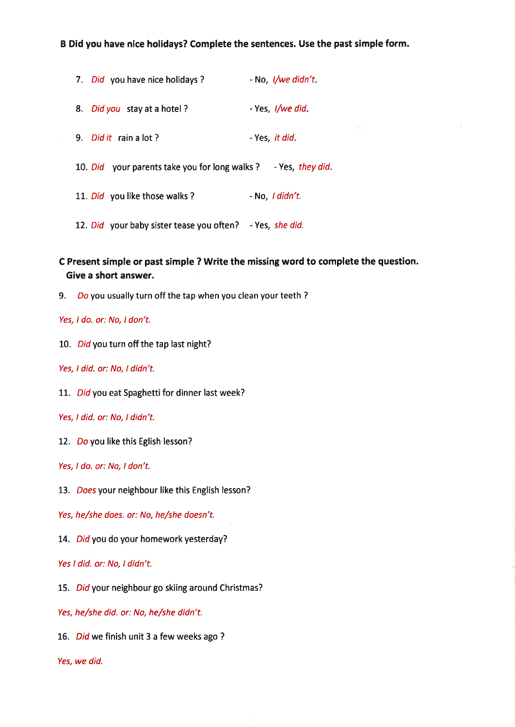### B Did you have nice holidays? Complete the sentences. Use the past simple form.

| 7. Did you have nice holidays?                            | $-$ No, $1$ /we didn't   |
|-----------------------------------------------------------|--------------------------|
| 8. Did you stay at a hotel?                               | - Yes, <i>I/we did</i> . |
| 9. <i>Did it</i> rain a lot?                              | - Yes, <i>it did</i> .   |
| 10. <i>Did</i> your parents take you for long walks?      | - Yes, they did          |
| 11. <i>Did</i> you like those walks?                      | - No, I didn't.          |
| 12. Did your baby sister tease you often? - Yes, she did. |                          |

### C Present simple or past simple ? Write the missing word to complete the question. Give a short answer.

9. Do you usually turn off the tap when you clean your teeth ?

### Yes, I do. or: No, I don't.

10. Did you turn off the tap last night?

Yes, I did. or: No, I didn't.

11. Did you eat Spaghetti for dinner last week?

Yes, I did. or: No, I didn't.

- 12. Do you like this Eglish lesson?
- Yes, I do. or: No, I don't.
- 13. Does your neighbour like this English lesson?

Yes, he/she does. or: No, he/she doesn't.

14. Did you do your homework yesterday?

Yes I did. or: No, I didn't.

15. Did your neighbour go skiing around Christmas?

Yes, he/she did. or: No, he/she didn't.

16. Did we finish unit 3 a few weeks ago?

Yes, we did.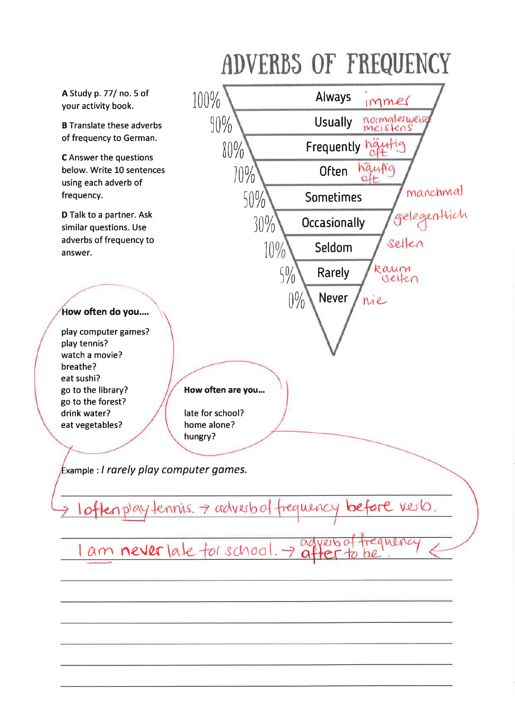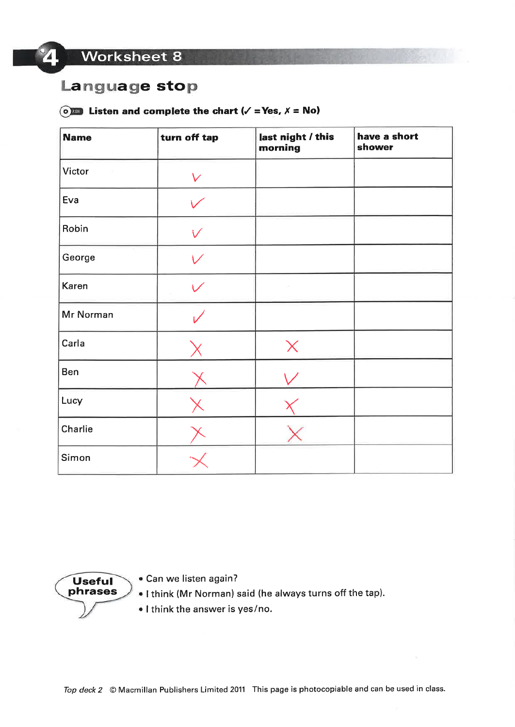### Language stop

### **ORED** Listen and complete the chart ( $\angle$  =Yes,  $X = No$ )

| <b>Name</b> | turn off tap | last night / this<br>morning | have a short<br>shower |
|-------------|--------------|------------------------------|------------------------|
| Victor      | $\checkmark$ |                              |                        |
| Eva         |              |                              |                        |
| Robin       |              |                              |                        |
| George      |              |                              |                        |
| Karen       | $\sqrt{}$    |                              |                        |
| Mr Norman   |              |                              |                        |
| Carla       |              | $\bm{\times}$                |                        |
| Ben         |              |                              |                        |
| Lucy        |              |                              |                        |
| Charlie     |              |                              |                        |
| Simon       |              |                              |                        |



- . Can we listen again?
- ¡ I think (Mr Norman) said (he always turns off the tap).
- . I think the answer is yes/no.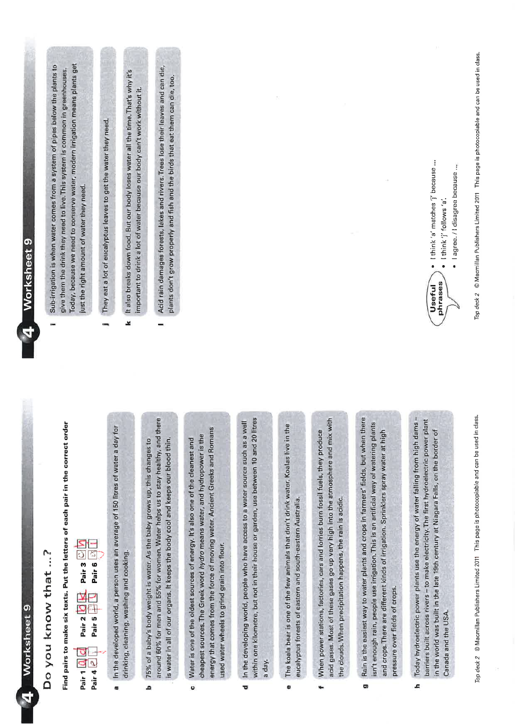

## Do you know that ...?

# Find pairs to make six texts. Put the letters of each pair in the correct order



- In the developed world, a person uses an average of 150 litres of water a day for drinking, cleaning, washing and cooking.  $\overline{a}$
- around 60% for men and 55% for women. Water helps us to stay healthy, and there is water in all of our organs. It keeps the body cool and keeps our blood thin. 75% of a baby's body weight is water. As the baby grows up, this changes to م
- energy that comes from the force of moving water. Ancient Greeks and Romans cheapest sources. The Greek word hydro means water, and hydropower is the Water is one of the oldest sources of energy. It's also one of the cleanest and used water wheels to grind grain into flour.  $\ddot{\phantom{0}}$
- within one kilometre, but not in their house or garden, use between 10 and 20 litres In the developing world, people who have access to a water source such as a well a day. Ð
- The koala bear is one of the few animals that don't drink water. Koalas live in the eucalyptus forests of eastern and south-eastern Australia.  $\bullet$
- acid gases. Most of these gases go up very high into the atmosphere and mix with When power stations, factories, cars and lorries burn fossil fuels, they produce the clouds. When precipitation happens, the rain is acidic. ÷
- Rain is the easiest way to water plants and crops in farmers' fields, but when there isn't enough rain, people use irrigation. This is an artificial way of watering plants and crops. There are different kinds of irrigation. Sprinklers spray water at high pressure over fields of crops. o
- Today hydroelectric power plants use the energy of water falling from high damsbarriers built across rivers - to make electricity. The first hydroelectric power plant in the world was built in the late 19th century at Niagara Falls, on the border of Canada and the USA. £,

Top deck 2 © Macmillan Publishers Limited 2011 This page is photocopiable and can be used in class.

### Worksheet 9

- Today, because we need to conserve water, modern irrigation means plants get Sub-irrigation is when water comes from a system of pipes below the plants to give them the drink they need to live. This system is common in greenhouses. just the right amount of water they need.
- They eat a lot of eucalyptus leaves to get the water they need.
- It also breaks down food. But our body loses water all the time. That's why it's important to drink a lot of water because our body can't work without it. ¥
- Acid rain damages forests, lakes and rivers. Trees lose their leaves and can die. plants don't grow properly and fish and the birds that eat them can die, too.



Top deck 2 © Macmillan Publishers Limited 2011 This page is photocopiable and can be used in class.